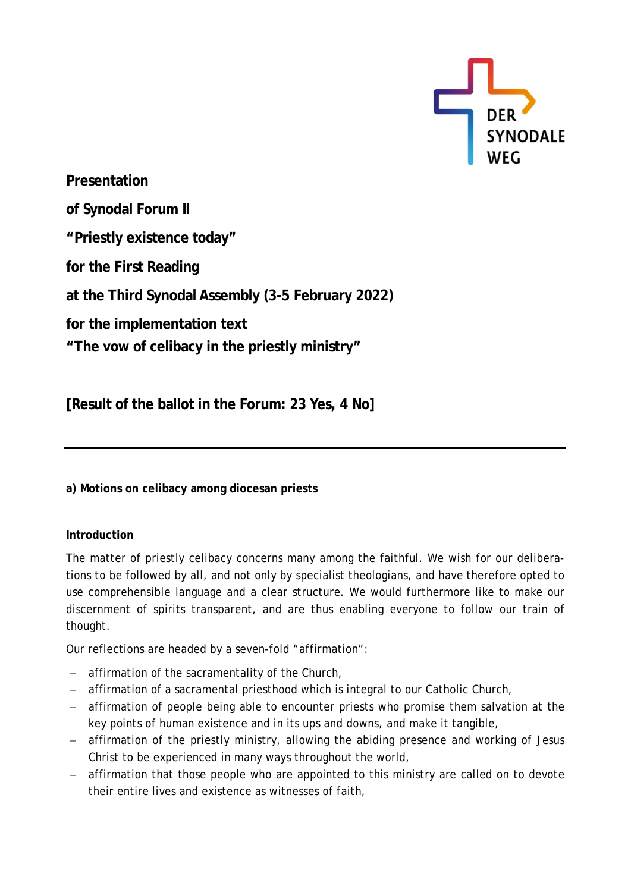

**Presentation of Synodal Forum II "Priestly existence today" for the First Reading at the Third Synodal Assembly (3-5 February 2022) for the implementation text "The vow of celibacy in the priestly ministry"**

**[Result of the ballot in the Forum: 23 Yes, 4 No]**

**a) Motions on celibacy among diocesan priests**

# **Introduction**

The matter of priestly celibacy concerns many among the faithful. We wish for our deliberations to be followed by all, and not only by specialist theologians, and have therefore opted to use comprehensible language and a clear structure. We would furthermore like to make our discernment of spirits transparent, and are thus enabling everyone to follow our train of thought.

Our reflections are headed by a seven-fold "affirmation":

- − affirmation of the sacramentality of the Church,
- − affirmation of a sacramental priesthood which is integral to our Catholic Church,
- − affirmation of people being able to encounter priests who promise them salvation at the key points of human existence and in its ups and downs, and make it tangible,
- − affirmation of the priestly ministry, allowing the abiding presence and working of Jesus Christ to be experienced in many ways throughout the world,
- − affirmation that those people who are appointed to this ministry are called on to devote their entire lives and existence as witnesses of faith,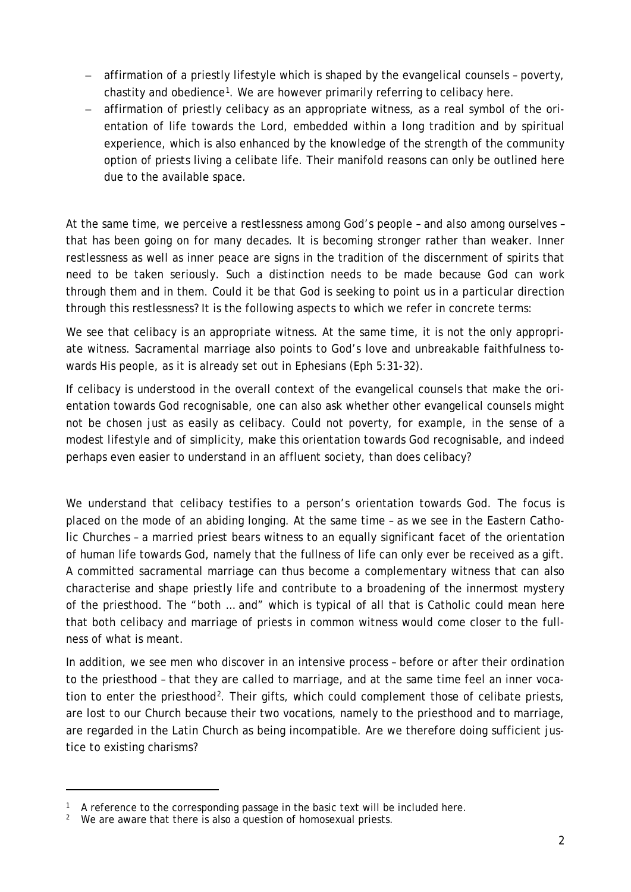- − affirmation of a priestly lifestyle which is shaped by the evangelical counsels poverty, chastity and obedience[1.](#page-1-0) We are however primarily referring to celibacy here.
- − affirmation of priestly celibacy as an appropriate witness, as a real symbol of the orientation of life towards the Lord, embedded within a long tradition and by spiritual experience, which is also enhanced by the knowledge of the strength of the community option of priests living a celibate life. Their manifold reasons can only be outlined here due to the available space.

At the same time, we perceive a restlessness among God's people – and also among ourselves – that has been going on for many decades. It is becoming stronger rather than weaker. Inner restlessness as well as inner peace are signs in the tradition of the discernment of spirits that need to be taken seriously. Such a distinction needs to be made because God can work through them and in them. Could it be that God is seeking to point us in a particular direction through this restlessness? It is the following aspects to which we refer in concrete terms:

We see that celibacy is an appropriate witness. At the same time, it is not the only appropriate witness. Sacramental marriage also points to God's love and unbreakable faithfulness towards His people, as it is already set out in Ephesians (Eph 5:31-32).

If celibacy is understood in the overall context of the evangelical counsels that make the orientation towards God recognisable, one can also ask whether other evangelical counsels might not be chosen just as easily as celibacy. Could not poverty, for example, in the sense of a modest lifestyle and of simplicity, make this orientation towards God recognisable, and indeed perhaps even easier to understand in an affluent society, than does celibacy?

We understand that celibacy testifies to a person's orientation towards God. The focus is placed on the mode of an abiding longing. At the same time – as we see in the Eastern Catholic Churches – a married priest bears witness to an equally significant facet of the orientation of human life towards God, namely that the fullness of life can only ever be received as a gift. A committed sacramental marriage can thus become a complementary witness that can also characterise and shape priestly life and contribute to a broadening of the innermost mystery of the priesthood. The "both … and" which is typical of all that is Catholic could mean here that both celibacy and marriage of priests in common witness would come closer to the fullness of what is meant.

In addition, we see men who discover in an intensive process – before or after their ordination to the priesthood – that they are called to marriage, and at the same time feel an inner vocation to enter the priesthood<sup>2</sup>. Their gifts, which could complement those of celibate priests, are lost to our Church because their two vocations, namely to the priesthood and to marriage, are regarded in the Latin Church as being incompatible. Are we therefore doing sufficient justice to existing charisms?

<span id="page-1-0"></span> $1$  A reference to the corresponding passage in the basic text will be included here.

<span id="page-1-1"></span> $2$  We are aware that there is also a question of homosexual priests.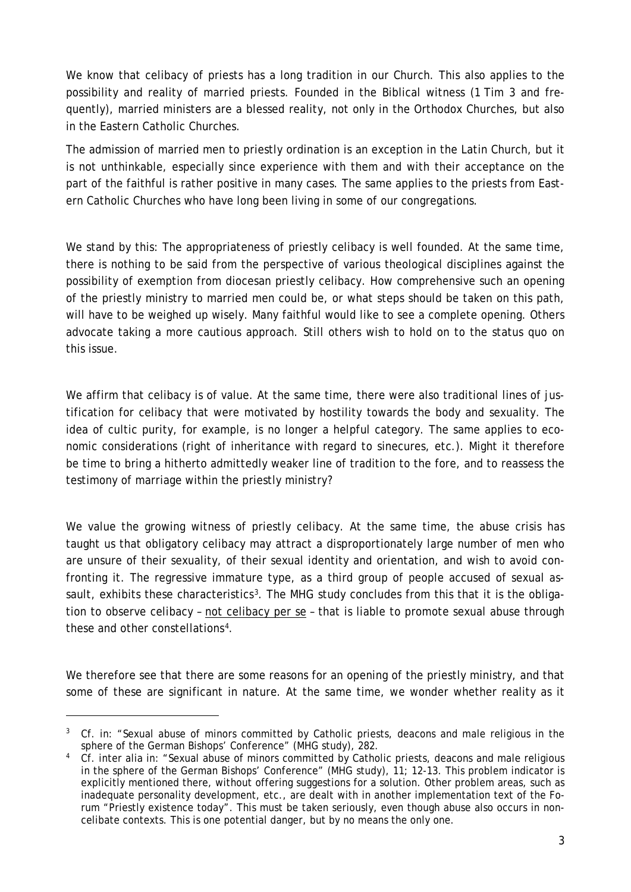We know that celibacy of priests has a long tradition in our Church. This also applies to the possibility and reality of married priests. Founded in the Biblical witness (1 Tim 3 and frequently), married ministers are a blessed reality, not only in the Orthodox Churches, but also in the Eastern Catholic Churches.

The admission of married men to priestly ordination is an exception in the Latin Church, but it is not unthinkable, especially since experience with them and with their acceptance on the part of the faithful is rather positive in many cases. The same applies to the priests from Eastern Catholic Churches who have long been living in some of our congregations.

We stand by this: The appropriateness of priestly celibacy is well founded. At the same time, there is nothing to be said from the perspective of various theological disciplines against the possibility of exemption from diocesan priestly celibacy. How comprehensive such an opening of the priestly ministry to married men could be, or what steps should be taken on this path, will have to be weighed up wisely. Many faithful would like to see a complete opening. Others advocate taking a more cautious approach. Still others wish to hold on to the status quo on this issue.

We affirm that celibacy is of value. At the same time, there were also traditional lines of justification for celibacy that were motivated by hostility towards the body and sexuality. The idea of cultic purity, for example, is no longer a helpful category. The same applies to economic considerations (right of inheritance with regard to sinecures, etc.). Might it therefore be time to bring a hitherto admittedly weaker line of tradition to the fore, and to reassess the testimony of marriage within the priestly ministry?

We value the growing witness of priestly celibacy. At the same time, the abuse crisis has taught us that obligatory celibacy may attract a disproportionately large number of men who are unsure of their sexuality, of their sexual identity and orientation, and wish to avoid confronting it. The regressive immature type, as a third group of people accused of sexual assault, exhibits these characteristics<sup>3</sup>. The MHG study concludes from this that it is the obligation to observe celibacy – not celibacy per se – that is liable to promote sexual abuse through these and other constellations[4](#page-2-1).

We therefore see that there are some reasons for an opening of the priestly ministry, and that some of these are significant in nature. At the same time, we wonder whether reality as it

<span id="page-2-0"></span><sup>&</sup>lt;sup>3</sup> Cf. in: "Sexual abuse of minors committed by Catholic priests, deacons and male religious in the sphere of the German Bishops' Conference" (MHG study), 282.

<span id="page-2-1"></span><sup>&</sup>lt;sup>4</sup> Cf. inter alia in: "Sexual abuse of minors committed by Catholic priests, deacons and male religious in the sphere of the German Bishops' Conference" (MHG study), 11; 12-13. This problem indicator is explicitly mentioned there, without offering suggestions for a solution. Other problem areas, such as inadequate personality development, etc., are dealt with in another implementation text of the Forum "Priestly existence today". This must be taken seriously, even though abuse also occurs in noncelibate contexts. This is one potential danger, but by no means the only one.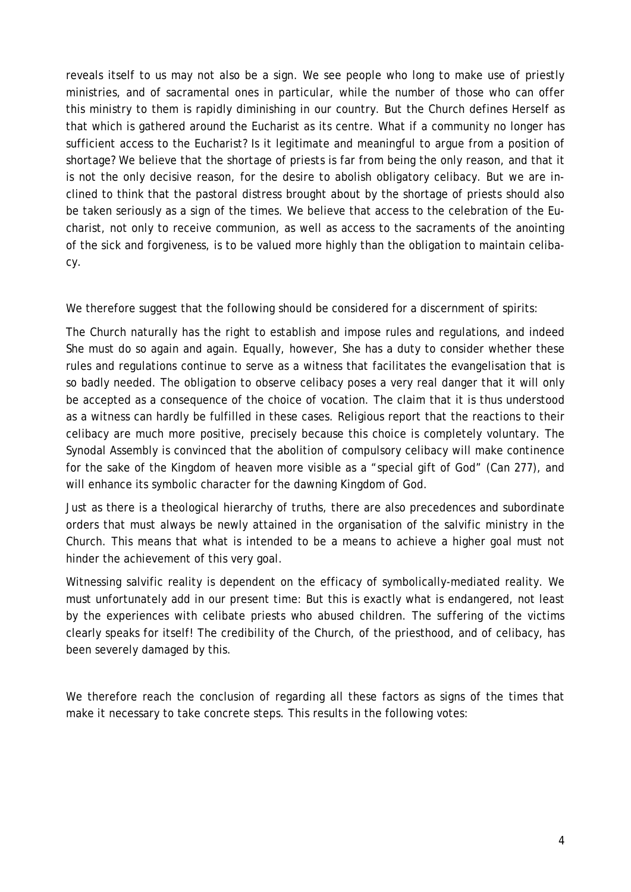reveals itself to us may not also be a sign. We see people who long to make use of priestly ministries, and of sacramental ones in particular, while the number of those who can offer this ministry to them is rapidly diminishing in our country. But the Church defines Herself as that which is gathered around the Eucharist as its centre. What if a community no longer has sufficient access to the Eucharist? Is it legitimate and meaningful to argue from a position of shortage? We believe that the shortage of priests is far from being the only reason, and that it is not the only decisive reason, for the desire to abolish obligatory celibacy. But we are inclined to think that the pastoral distress brought about by the shortage of priests should also be taken seriously as a sign of the times. We believe that access to the celebration of the Eucharist, not only to receive communion, as well as access to the sacraments of the anointing of the sick and forgiveness, is to be valued more highly than the obligation to maintain celibacy.

We therefore suggest that the following should be considered for a discernment of spirits:

The Church naturally has the right to establish and impose rules and regulations, and indeed She must do so again and again. Equally, however, She has a duty to consider whether these rules and regulations continue to serve as a witness that facilitates the evangelisation that is so badly needed. The obligation to observe celibacy poses a very real danger that it will only be accepted as a consequence of the choice of vocation. The claim that it is thus understood as a witness can hardly be fulfilled in these cases. Religious report that the reactions to their celibacy are much more positive, precisely because this choice is completely voluntary. The Synodal Assembly is convinced that the abolition of compulsory celibacy will make continence for the sake of the Kingdom of heaven more visible as a "special gift of God" (Can 277), and will enhance its symbolic character for the dawning Kingdom of God.

Just as there is a theological hierarchy of truths, there are also precedences and subordinate orders that must always be newly attained in the organisation of the salvific ministry in the Church. This means that what is intended to be a means to achieve a higher goal must not hinder the achievement of this very goal.

Witnessing salvific reality is dependent on the efficacy of symbolically-mediated reality. We must unfortunately add in our present time: But this is exactly what is endangered, not least by the experiences with celibate priests who abused children. The suffering of the victims clearly speaks for itself! The credibility of the Church, of the priesthood, and of celibacy, has been severely damaged by this.

We therefore reach the conclusion of regarding all these factors as signs of the times that make it necessary to take concrete steps. This results in the following votes: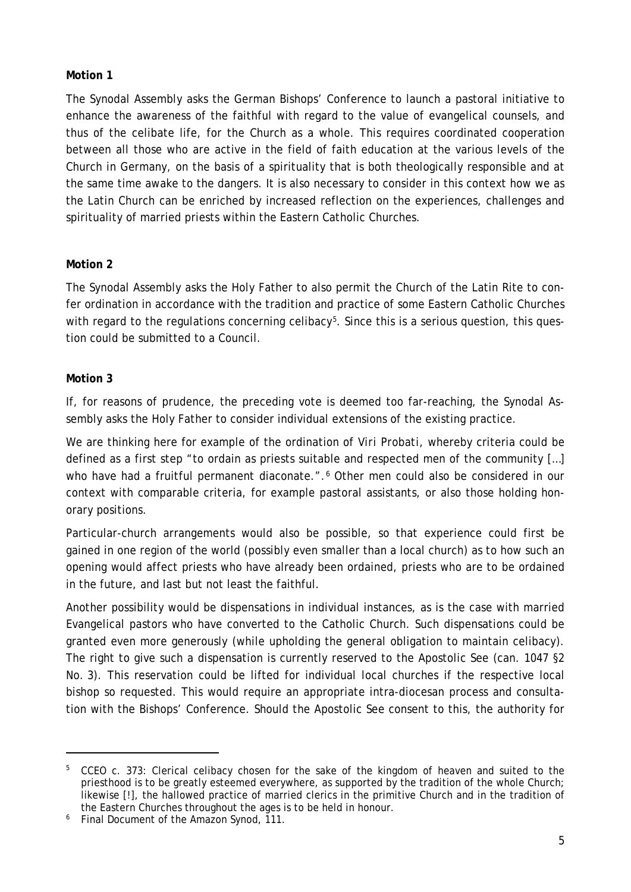## **Motion 1**

The Synodal Assembly asks the German Bishops' Conference to launch a pastoral initiative to enhance the awareness of the faithful with regard to the value of evangelical counsels, and thus of the celibate life, for the Church as a whole. This requires coordinated cooperation between all those who are active in the field of faith education at the various levels of the Church in Germany, on the basis of a spirituality that is both theologically responsible and at the same time awake to the dangers. It is also necessary to consider in this context how we as the Latin Church can be enriched by increased reflection on the experiences, challenges and spirituality of married priests within the Eastern Catholic Churches.

## **Motion 2**

The Synodal Assembly asks the Holy Father to also permit the Church of the Latin Rite to confer ordination in accordance with the tradition and practice of some Eastern Catholic Churches with regard to the regulations concerning celibacy<sup>5</sup>. Since this is a serious question, this question could be submitted to a Council.

## **Motion 3**

If, for reasons of prudence, the preceding vote is deemed too far-reaching, the Synodal Assembly asks the Holy Father to consider individual extensions of the existing practice.

We are thinking here for example of the ordination of *Viri Probati*, whereby criteria could be defined as a first step "to ordain as priests suitable and respected men of the community […] who have had a fruitful permanent diaconate.".<sup>[6](#page-4-1)</sup> Other men could also be considered in our context with comparable criteria, for example pastoral assistants, or also those holding honorary positions.

Particular-church arrangements would also be possible, so that experience could first be gained in one region of the world (possibly even smaller than a local church) as to how such an opening would affect priests who have already been ordained, priests who are to be ordained in the future, and last but not least the faithful.

Another possibility would be dispensations in individual instances, as is the case with married Evangelical pastors who have converted to the Catholic Church. Such dispensations could be granted even more generously (while upholding the general obligation to maintain celibacy). The right to give such a dispensation is currently reserved to the Apostolic See (can. 1047 §2 No. 3). This reservation could be lifted for individual local churches if the respective local bishop so requested. This would require an appropriate intra-diocesan process and consultation with the Bishops' Conference. Should the Apostolic See consent to this, the authority for

<span id="page-4-0"></span><sup>&</sup>lt;sup>5</sup> CCEO c. 373: Clerical celibacy chosen for the sake of the kingdom of heaven and suited to the priesthood is to be greatly esteemed everywhere, as supported by the tradition of the whole Church; likewise [!], the hallowed practice of married clerics in the primitive Church and in the tradition of the Eastern Churches throughout the ages is to be held in honour.

<span id="page-4-1"></span><sup>6</sup> Final Document of the Amazon Synod, 111.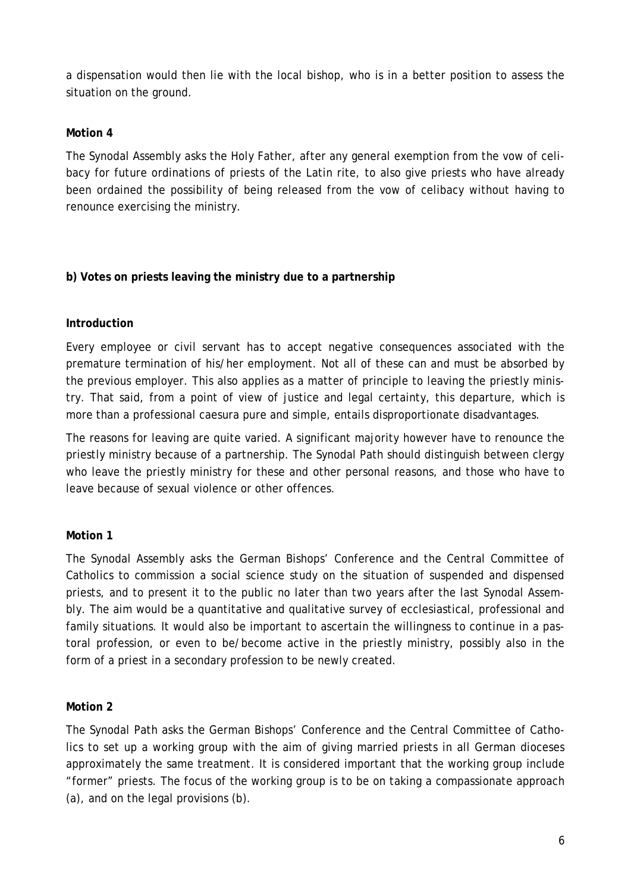a dispensation would then lie with the local bishop, who is in a better position to assess the situation on the ground.

## **Motion 4**

The Synodal Assembly asks the Holy Father, after any general exemption from the vow of celibacy for future ordinations of priests of the Latin rite, to also give priests who have already been ordained the possibility of being released from the vow of celibacy without having to renounce exercising the ministry.

## **b) Votes on priests leaving the ministry due to a partnership**

## **Introduction**

Every employee or civil servant has to accept negative consequences associated with the premature termination of his/her employment. Not all of these can and must be absorbed by the previous employer. This also applies as a matter of principle to leaving the priestly ministry. That said, from a point of view of justice and legal certainty, this departure, which is more than a professional caesura pure and simple, entails disproportionate disadvantages.

The reasons for leaving are quite varied. A significant majority however have to renounce the priestly ministry because of a partnership. The Synodal Path should distinguish between clergy who leave the priestly ministry for these and other personal reasons, and those who have to leave because of sexual violence or other offences.

## **Motion 1**

The Synodal Assembly asks the German Bishops' Conference and the Central Committee of Catholics to commission a social science study on the situation of suspended and dispensed priests, and to present it to the public no later than two years after the last Synodal Assembly. The aim would be a quantitative and qualitative survey of ecclesiastical, professional and family situations. It would also be important to ascertain the willingness to continue in a pastoral profession, or even to be/become active in the priestly ministry, possibly also in the form of a priest in a secondary profession to be newly created.

#### **Motion 2**

The Synodal Path asks the German Bishops' Conference and the Central Committee of Catholics to set up a working group with the aim of giving married priests in all German dioceses approximately the same treatment. It is considered important that the working group include "former" priests. The focus of the working group is to be on taking a compassionate approach (a), and on the legal provisions (b).